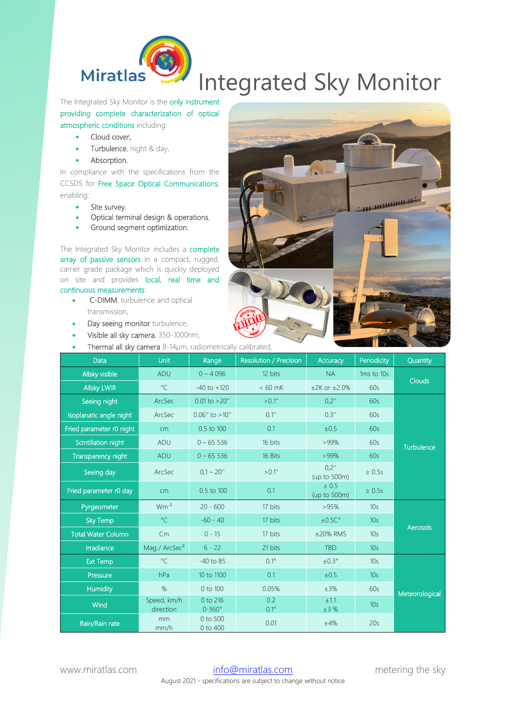

## Integrated Sky Monitor

The Integrated Sky Monitor is the only instrument providing complete characterization of optical atmospheric conditions including:

- Cloud cover,
- Turbulence, night & day,
- Absorption.

In compliance with the specifications from the CCSDS for Free Space Optical Communications, enabling:

- Site survey,
- Optical terminal design & operations,
- Ground segment optimization.

The Integrated Sky Monitor includes a complete array of passive sensors in a compact, rugged, carrier grade package which is quickly deployed on site and provides local, real time and continuous measurements:

- C-DIMM, turbulence and optical transmission,
- Day seeing monitor turbulence,
- Visible all sky camera, 350-1000nm,
- Thermal all sky camera 8-14µm, radiometrically calibrated,



| Data                      | Unit                     | Range                       | Resolution / Precision | Accuracy                 | Periodicity     | Quantity        |
|---------------------------|--------------------------|-----------------------------|------------------------|--------------------------|-----------------|-----------------|
| Allsky visible            | ADU                      | $0 - 4096$                  | 12 bits                | <b>NA</b>                | 1ms to 10s      | <b>Clouds</b>   |
| <b>Allsky LWIR</b>        | $^{\circ}$ C             | $-40$ to $+120$             | $< 60$ mK              | $±2K$ or $±2.0%$         | 60s             |                 |
| Seeing night              | ArcSec                   | $0.01$ to $>20''$           | > 0.1''                | 0.2''                    | 60s             | Turbulence      |
| Isoplanatic angle night   | ArcSec                   | $0.06''$ to $>10''$         | 0.1''                  | 0.3''                    | 60s             |                 |
| Fried parameter r0 night  | cm                       | 0.5 to 100                  | 0.1                    | ±0.5                     | 60s             |                 |
| Scintillation night       | <b>ADU</b>               | $0 - 65536$                 | 16 bits                | $>99\%$                  | 60s             |                 |
| Transparency night        | ADU                      | $0 - 65536$                 | 16 Bits                | $>99\%$                  | 60s             |                 |
| Seeing day                | ArcSec                   | $0.1 - 20''$                | > 0.1"                 | 0,2"<br>(up to 500m)     | $\geq 0.5s$     |                 |
| Fried parameter r0 day    | cm                       | 0.5 to 100                  | 0.1                    | ± 0.5<br>(up to $500m$ ) | $\geq 0.5s$     |                 |
| Pyrgeometer               | $Wm^{-2}$                | $20 - 600$                  | 17 bits                | >95%                     | 10 <sub>s</sub> | <b>Aerosols</b> |
| <b>Sky Temp</b>           | $^{\circ}$ C             | $-60 - 40$                  | 17 bits                | ±0.5C°                   | 10 <sub>s</sub> |                 |
| <b>Total Water Column</b> | Cm                       | $0 - 15$                    | 17 bits                | $\pm$ 20% RMS            | 10 <sub>s</sub> |                 |
| Irradiance                | Mag / $Arc2$             | $6 - 22$                    | 21 bits                | <b>TBD</b>               | 10 <sub>s</sub> |                 |
| <b>Ext Temp</b>           | $^{\circ}$ C             | $-40$ to $85$               | $0.1^{\circ}$          | $\pm 0.3^{\circ}$        | 10 <sub>s</sub> | Meteorological  |
| Pressure                  | hPa                      | 10 to 1100                  | 0.1                    | ±0.5                     | 10 <sub>s</sub> |                 |
| <b>Humidity</b>           | %                        | 0 to 100                    | 0.05%                  | ±3%                      | 60s             |                 |
| Wind                      | Speed, km/h<br>direction | 0 to 216<br>$0 - 360^\circ$ | 0.2<br>$0.1^{\circ}$   | ±1.1<br>±3%              | 10 <sub>s</sub> |                 |
| Rain/Rain rate            | mm<br>mm/h               | 0 to 500<br>0 to 400        | 0.01                   | ±4%                      | 20s             |                 |